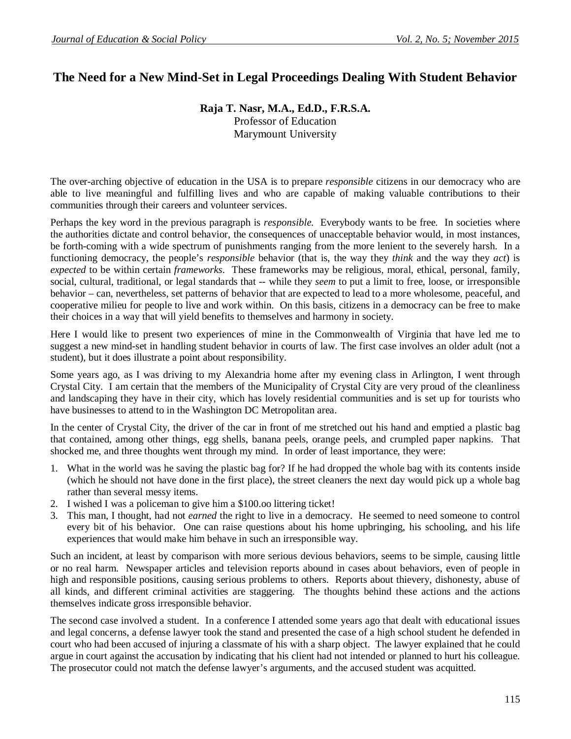## **The Need for a New Mind-Set in Legal Proceedings Dealing With Student Behavior**

## **Raja T. Nasr, M.A., Ed.D., F.R.S.A.**

Professor of Education Marymount University

The over-arching objective of education in the USA is to prepare *responsible* citizens in our democracy who are able to live meaningful and fulfilling lives and who are capable of making valuable contributions to their communities through their careers and volunteer services.

Perhaps the key word in the previous paragraph is *responsible.* Everybody wants to be free. In societies where the authorities dictate and control behavior, the consequences of unacceptable behavior would, in most instances, be forth-coming with a wide spectrum of punishments ranging from the more lenient to the severely harsh. In a functioning democracy, the people's *responsible* behavior (that is, the way they *think* and the way they *act*) is *expected* to be within certain *frameworks*. These frameworks may be religious, moral, ethical, personal, family, social, cultural, traditional, or legal standards that -- while they *seem* to put a limit to free, loose, or irresponsible behavior – can, nevertheless, set patterns of behavior that are expected to lead to a more wholesome, peaceful, and cooperative milieu for people to live and work within. On this basis, citizens in a democracy can be free to make their choices in a way that will yield benefits to themselves and harmony in society.

Here I would like to present two experiences of mine in the Commonwealth of Virginia that have led me to suggest a new mind-set in handling student behavior in courts of law. The first case involves an older adult (not a student), but it does illustrate a point about responsibility.

Some years ago, as I was driving to my Alexandria home after my evening class in Arlington, I went through Crystal City. I am certain that the members of the Municipality of Crystal City are very proud of the cleanliness and landscaping they have in their city, which has lovely residential communities and is set up for tourists who have businesses to attend to in the Washington DC Metropolitan area.

In the center of Crystal City, the driver of the car in front of me stretched out his hand and emptied a plastic bag that contained, among other things, egg shells, banana peels, orange peels, and crumpled paper napkins. That shocked me, and three thoughts went through my mind. In order of least importance, they were:

- 1. What in the world was he saving the plastic bag for? If he had dropped the whole bag with its contents inside (which he should not have done in the first place), the street cleaners the next day would pick up a whole bag rather than several messy items.
- 2. I wished I was a policeman to give him a \$100.oo littering ticket!
- 3. This man, I thought, had not *earned* the right to live in a democracy. He seemed to need someone to control every bit of his behavior. One can raise questions about his home upbringing, his schooling, and his life experiences that would make him behave in such an irresponsible way.

Such an incident, at least by comparison with more serious devious behaviors, seems to be simple, causing little or no real harm. Newspaper articles and television reports abound in cases about behaviors, even of people in high and responsible positions, causing serious problems to others. Reports about thievery, dishonesty, abuse of all kinds, and different criminal activities are staggering. The thoughts behind these actions and the actions themselves indicate gross irresponsible behavior.

The second case involved a student. In a conference I attended some years ago that dealt with educational issues and legal concerns, a defense lawyer took the stand and presented the case of a high school student he defended in court who had been accused of injuring a classmate of his with a sharp object. The lawyer explained that he could argue in court against the accusation by indicating that his client had not intended or planned to hurt his colleague. The prosecutor could not match the defense lawyer's arguments, and the accused student was acquitted.